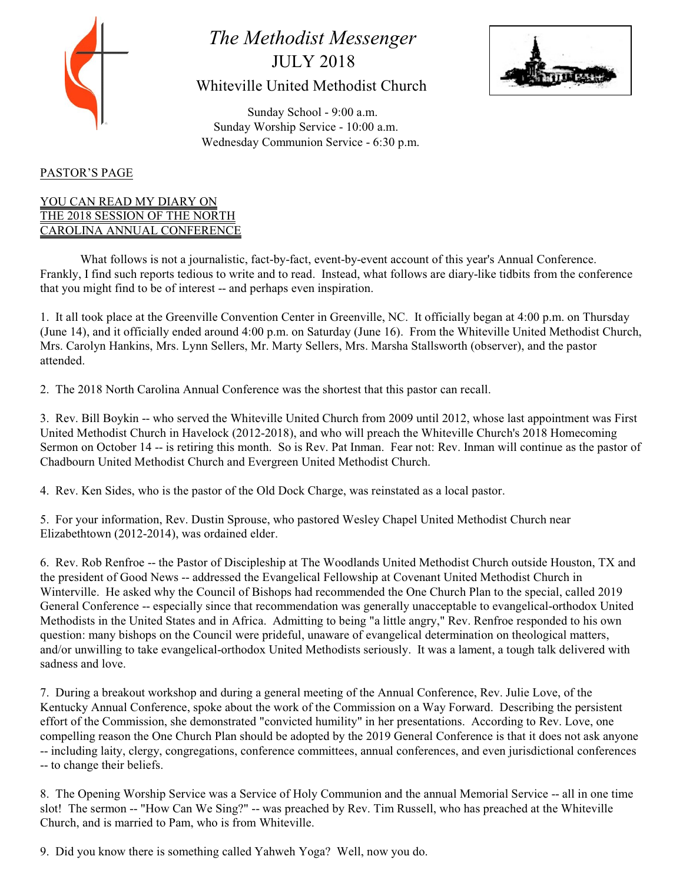

# *The Methodist Messenger* JULY 2018 Whiteville United Methodist Church



 Sunday School - 9:00 a.m. Sunday Worship Service - 10:00 a.m. Wednesday Communion Service - 6:30 p.m.

# PASTOR'S PAGE

### YOU CAN READ MY DIARY ON THE 2018 SESSION OF THE NORTH CAROLINA ANNUAL CONFERENCE

What follows is not a journalistic, fact-by-fact, event-by-event account of this year's Annual Conference. Frankly, I find such reports tedious to write and to read. Instead, what follows are diary-like tidbits from the conference that you might find to be of interest -- and perhaps even inspiration.

1. It all took place at the Greenville Convention Center in Greenville, NC. It officially began at 4:00 p.m. on Thursday (June 14), and it officially ended around 4:00 p.m. on Saturday (June 16). From the Whiteville United Methodist Church, Mrs. Carolyn Hankins, Mrs. Lynn Sellers, Mr. Marty Sellers, Mrs. Marsha Stallsworth (observer), and the pastor attended.

2. The 2018 North Carolina Annual Conference was the shortest that this pastor can recall.

3. Rev. Bill Boykin -- who served the Whiteville United Church from 2009 until 2012, whose last appointment was First United Methodist Church in Havelock (2012-2018), and who will preach the Whiteville Church's 2018 Homecoming Sermon on October 14 -- is retiring this month. So is Rev. Pat Inman. Fear not: Rev. Inman will continue as the pastor of Chadbourn United Methodist Church and Evergreen United Methodist Church.

4. Rev. Ken Sides, who is the pastor of the Old Dock Charge, was reinstated as a local pastor.

5. For your information, Rev. Dustin Sprouse, who pastored Wesley Chapel United Methodist Church near Elizabethtown (2012-2014), was ordained elder.

6. Rev. Rob Renfroe -- the Pastor of Discipleship at The Woodlands United Methodist Church outside Houston, TX and the president of Good News -- addressed the Evangelical Fellowship at Covenant United Methodist Church in Winterville. He asked why the Council of Bishops had recommended the One Church Plan to the special, called 2019 General Conference -- especially since that recommendation was generally unacceptable to evangelical-orthodox United Methodists in the United States and in Africa. Admitting to being "a little angry," Rev. Renfroe responded to his own question: many bishops on the Council were prideful, unaware of evangelical determination on theological matters, and/or unwilling to take evangelical-orthodox United Methodists seriously. It was a lament, a tough talk delivered with sadness and love.

7. During a breakout workshop and during a general meeting of the Annual Conference, Rev. Julie Love, of the Kentucky Annual Conference, spoke about the work of the Commission on a Way Forward. Describing the persistent effort of the Commission, she demonstrated "convicted humility" in her presentations. According to Rev. Love, one compelling reason the One Church Plan should be adopted by the 2019 General Conference is that it does not ask anyone -- including laity, clergy, congregations, conference committees, annual conferences, and even jurisdictional conferences -- to change their beliefs.

8. The Opening Worship Service was a Service of Holy Communion and the annual Memorial Service -- all in one time slot! The sermon -- "How Can We Sing?" -- was preached by Rev. Tim Russell, who has preached at the Whiteville Church, and is married to Pam, who is from Whiteville.

9. Did you know there is something called Yahweh Yoga? Well, now you do.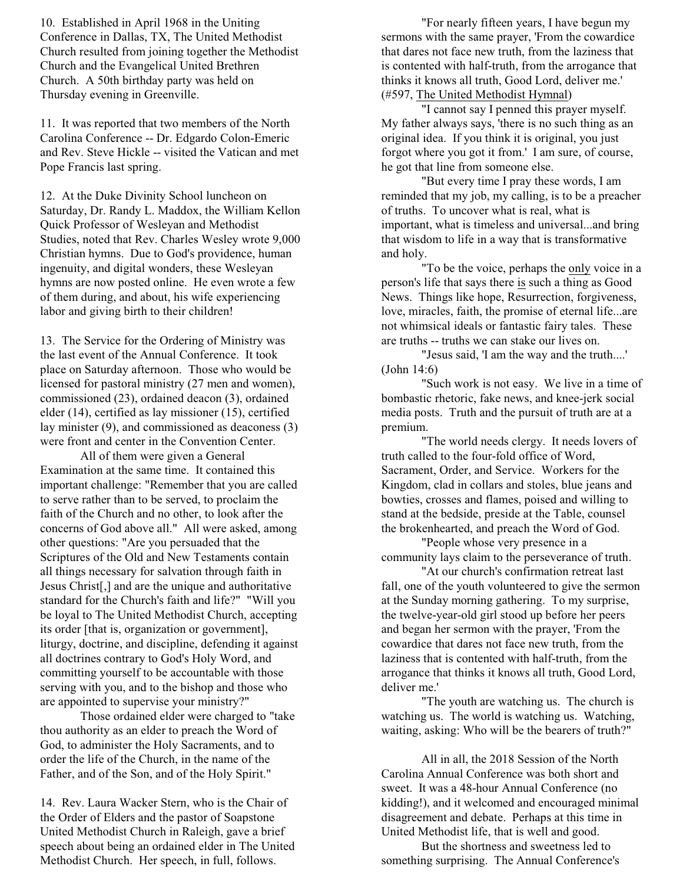10. Established in April 1968 in the Uniting Conference in Dallas, TX, The United Methodist Church resulted from joining together the Methodist Church and the Evangelical United Brethren Church. A 50th birthday party was held on Thursday evening in Greenville.

11. It was reported that two members of the North Carolina Conference -- Dr. Edgardo Colon-Emeric and Rev. Steve Hickle -- visited the Vatican and met Pope Francis last spring.

12. At the Duke Divinity School luncheon on Saturday, Dr. Randy L. Maddox, the William Kellon Quick Professor of Wesleyan and Methodist Studies, noted that Rev. Charles Wesley wrote 9,000 Christian hymns. Due to God's providence, human ingenuity, and digital wonders, these Wesleyan hymns are now posted online. He even wrote a few of them during, and about, his wife experiencing labor and giving birth to their children!

13. The Service for the Ordering of Ministry was the last event of the Annual Conference. It took place on Saturday afternoon. Those who would be licensed for pastoral ministry (27 men and women), commissioned (23), ordained deacon (3), ordained elder (14), certified as lay missioner (15), certified lay minister (9), and commissioned as deaconess (3) were front and center in the Convention Center.

All of them were given a General Examination at the same time. It contained this important challenge: "Remember that you are called to serve rather than to be served, to proclaim the faith of the Church and no other, to look after the concerns of God above all." All were asked, among other questions: "Are you persuaded that the Scriptures of the Old and New Testaments contain all things necessary for salvation through faith in Jesus Christ[,] and are the unique and authoritative standard for the Church's faith and life?" "Will you be loyal to The United Methodist Church, accepting its order [that is, organization or government], liturgy, doctrine, and discipline, defending it against all doctrines contrary to God's Holy Word, and committing yourself to be accountable with those serving with you, and to the bishop and those who are appointed to supervise your ministry?"

Those ordained elder were charged to "take thou authority as an elder to preach the Word of God, to administer the Holy Sacraments, and to order the life of the Church, in the name of the Father, and of the Son, and of the Holy Spirit."

14. Rev. Laura Wacker Stern, who is the Chair of the Order of Elders and the pastor of Soapstone United Methodist Church in Raleigh, gave a brief speech about being an ordained elder in The United Methodist Church. Her speech, in full, follows.

"For nearly fifteen years, I have begun my sermons with the same prayer, 'From the cowardice that dares not face new truth, from the laziness that is contented with half-truth, from the arrogance that thinks it knows all truth, Good Lord, deliver me.' (#597, The United Methodist Hymnal)

"I cannot say I penned this prayer myself. My father always says, 'there is no such thing as an original idea. If you think it is original, you just forgot where you got it from.' I am sure, of course, he got that line from someone else.

"But every time I pray these words, I am reminded that my job, my calling, is to be a preacher of truths. To uncover what is real, what is important, what is timeless and universal...and bring that wisdom to life in a way that is transformative and holy.

"To be the voice, perhaps the only voice in a person's life that says there is such a thing as Good News. Things like hope, Resurrection, forgiveness, love, miracles, faith, the promise of eternal life...are not whimsical ideals or fantastic fairy tales. These are truths -- truths we can stake our lives on.

"Jesus said, 'I am the way and the truth....' (John 14:6)

"Such work is not easy. We live in a time of bombastic rhetoric, fake news, and knee-jerk social media posts. Truth and the pursuit of truth are at a premium.

"The world needs clergy. It needs lovers of truth called to the four-fold office of Word, Sacrament, Order, and Service. Workers for the Kingdom, clad in collars and stoles, blue jeans and bowties, crosses and flames, poised and willing to stand at the bedside, preside at the Table, counsel the brokenhearted, and preach the Word of God.

"People whose very presence in a community lays claim to the perseverance of truth.

"At our church's confirmation retreat last fall, one of the youth volunteered to give the sermon at the Sunday morning gathering. To my surprise, the twelve-year-old girl stood up before her peers and began her sermon with the prayer, 'From the cowardice that dares not face new truth, from the laziness that is contented with half-truth, from the arrogance that thinks it knows all truth, Good Lord, deliver me.'

"The youth are watching us. The church is watching us. The world is watching us. Watching, waiting, asking: Who will be the bearers of truth?"

All in all, the 2018 Session of the North Carolina Annual Conference was both short and sweet. It was a 48-hour Annual Conference (no kidding!), and it welcomed and encouraged minimal disagreement and debate. Perhaps at this time in United Methodist life, that is well and good.

But the shortness and sweetness led to something surprising. The Annual Conference's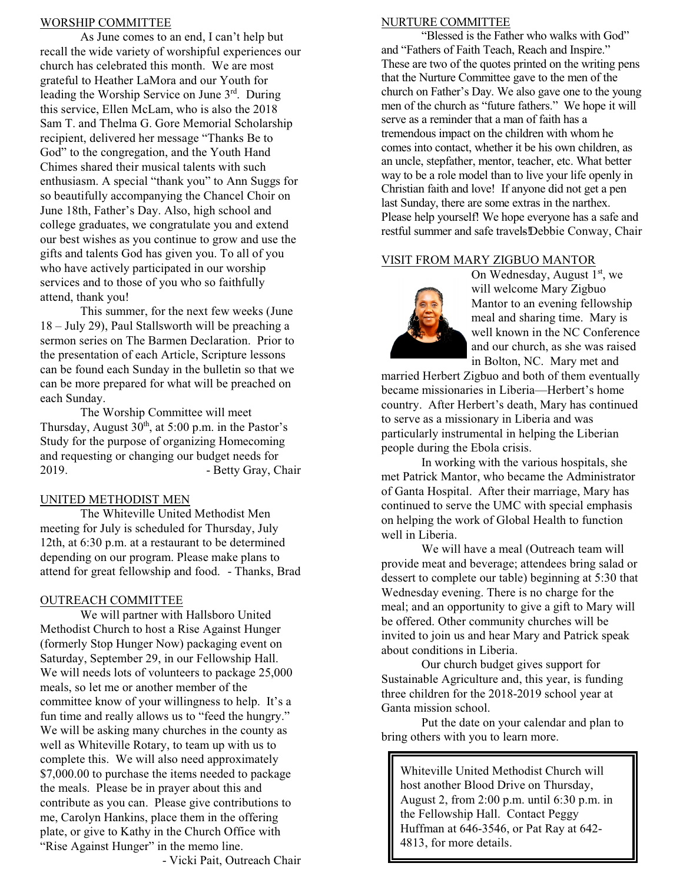#### WORSHIP COMMITTEE

As June comes to an end, I can't help but recall the wide variety of worshipful experiences our church has celebrated this month. We are most grateful to Heather LaMora and our Youth for leading the Worship Service on June  $3<sup>rd</sup>$ . During this service, Ellen McLam, who is also the 2018 Sam T. and Thelma G. Gore Memorial Scholarship recipient, delivered her message "Thanks Be to God" to the congregation, and the Youth Hand Chimes shared their musical talents with such enthusiasm. A special "thank you" to Ann Suggs for so beautifully accompanying the Chancel Choir on June 18th, Father's Day. Also, high school and college graduates, we congratulate you and extend our best wishes as you continue to grow and use the gifts and talents God has given you. To all of you who have actively participated in our worship services and to those of you who so faithfully attend, thank you!

This summer, for the next few weeks (June 18 – July 29), Paul Stallsworth will be preaching a sermon series on The Barmen Declaration. Prior to the presentation of each Article, Scripture lessons can be found each Sunday in the bulletin so that we can be more prepared for what will be preached on each Sunday.

The Worship Committee will meet Thursday, August  $30<sup>th</sup>$ , at  $5:00$  p.m. in the Pastor's Study for the purpose of organizing Homecoming and requesting or changing our budget needs for 2019. - Betty Gray, Chair

# UNITED METHODIST MEN

The Whiteville United Methodist Men meeting for July is scheduled for Thursday, July 12th, at 6:30 p.m. at a restaurant to be determined depending on our program. Please make plans to attend for great fellowship and food. - Thanks, Brad

# OUTREACH COMMITTEE

We will partner with Hallsboro United Methodist Church to host a Rise Against Hunger (formerly Stop Hunger Now) packaging event on Saturday, September 29, in our Fellowship Hall. We will needs lots of volunteers to package 25,000 meals, so let me or another member of the committee know of your willingness to help. It's a fun time and really allows us to "feed the hungry." We will be asking many churches in the county as well as Whiteville Rotary, to team up with us to complete this. We will also need approximately \$7,000.00 to purchase the items needed to package the meals. Please be in prayer about this and contribute as you can. Please give contributions to me, Carolyn Hankins, place them in the offering plate, or give to Kathy in the Church Office with "Rise Against Hunger" in the memo line.

- Vicki Pait, Outreach Chair

### NURTURE COMMITTEE

"Blessed is the Father who walks with God" and "Fathers of Faith Teach, Reach and Inspire." These are two of the quotes printed on the writing pens that the Nurture Committee gave to the men of the church on Father's Day. We also gave one to the young men of the church as "future fathers." We hope it will serve as a reminder that a man of faith has a tremendous impact on the children with whom he comes into contact, whether it be his own children, as an uncle, stepfather, mentor, teacher, etc. What better way to be a role model than to live your life openly in Christian faith and love! If anyone did not get a pen last Sunday, there are some extras in the narthex. Please help yourself! We hope everyone has a safe and restful summer and safe travels!Debbie Conway, Chair

### VISIT FROM MARY ZIGBUO MANTOR



On Wednesday, August  $1<sup>st</sup>$ , we will welcome Mary Zigbuo Mantor to an evening fellowship meal and sharing time. Mary is well known in the NC Conference and our church, as she was raised in Bolton, NC. Mary met and

married Herbert Zigbuo and both of them eventually became missionaries in Liberia—Herbert's home country. After Herbert's death, Mary has continued to serve as a missionary in Liberia and was particularly instrumental in helping the Liberian people during the Ebola crisis.

In working with the various hospitals, she met Patrick Mantor, who became the Administrator of Ganta Hospital. After their marriage, Mary has continued to serve the UMC with special emphasis on helping the work of Global Health to function well in Liberia.

We will have a meal (Outreach team will provide meat and beverage; attendees bring salad or dessert to complete our table) beginning at 5:30 that Wednesday evening. There is no charge for the meal; and an opportunity to give a gift to Mary will be offered. Other community churches will be invited to join us and hear Mary and Patrick speak about conditions in Liberia.

Our church budget gives support for Sustainable Agriculture and, this year, is funding three children for the 2018-2019 school year at Ganta mission school.

Put the date on your calendar and plan to bring others with you to learn more.

Whiteville United Methodist Church will host another Blood Drive on Thursday, August 2, from 2:00 p.m. until 6:30 p.m. in the Fellowship Hall. Contact Peggy Huffman at 646-3546, or Pat Ray at 642- 4813, for more details.